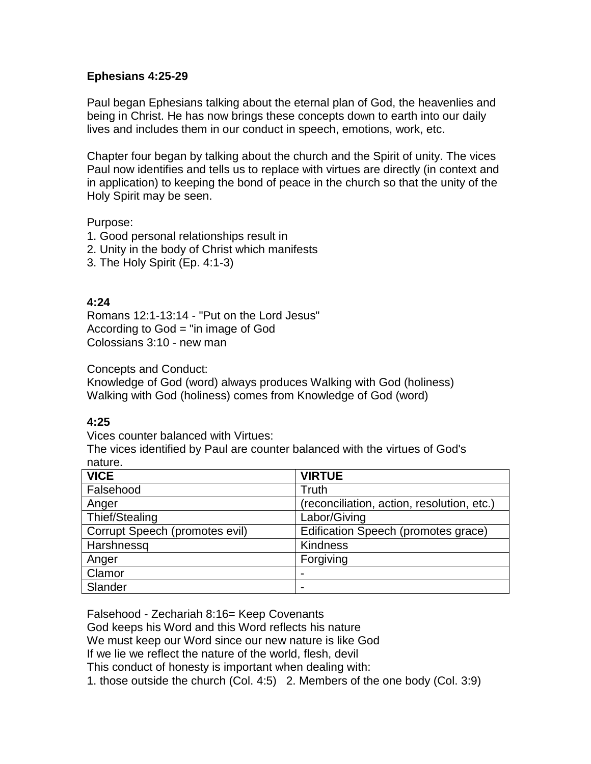#### **Ephesians 4:25-29**

Paul began Ephesians talking about the eternal plan of God, the heavenlies and being in Christ. He has now brings these concepts down to earth into our daily lives and includes them in our conduct in speech, emotions, work, etc.

Chapter four began by talking about the church and the Spirit of unity. The vices Paul now identifies and tells us to replace with virtues are directly (in context and in application) to keeping the bond of peace in the church so that the unity of the Holy Spirit may be seen.

Purpose:

- 1. Good personal relationships result in
- 2. Unity in the body of Christ which manifests
- 3. The Holy Spirit (Ep. 4:1-3)

# **4:24**

Romans 12:1-13:14 - "Put on the Lord Jesus" According to God = "in image of God Colossians 3:10 - new man

Concepts and Conduct:

Knowledge of God (word) always produces Walking with God (holiness) Walking with God (holiness) comes from Knowledge of God (word)

# **4:25**

Vices counter balanced with Virtues:

The vices identified by Paul are counter balanced with the virtues of God's nature.

| <b>VICE</b>                    | <b>VIRTUE</b>                              |
|--------------------------------|--------------------------------------------|
| Falsehood                      | Truth                                      |
| Anger                          | (reconciliation, action, resolution, etc.) |
| Thief/Stealing                 | Labor/Giving                               |
| Corrupt Speech (promotes evil) | Edification Speech (promotes grace)        |
| Harshnessq                     | <b>Kindness</b>                            |
| Anger                          | Forgiving                                  |
| Clamor                         | $\overline{\phantom{0}}$                   |
| Slander                        | $\overline{\phantom{0}}$                   |

Falsehood - Zechariah 8:16= Keep Covenants

God keeps his Word and this Word reflects his nature

We must keep our Word since our new nature is like God

If we lie we reflect the nature of the world, flesh, devil

This conduct of honesty is important when dealing with:

1. those outside the church (Col. 4:5) 2. Members of the one body (Col. 3:9)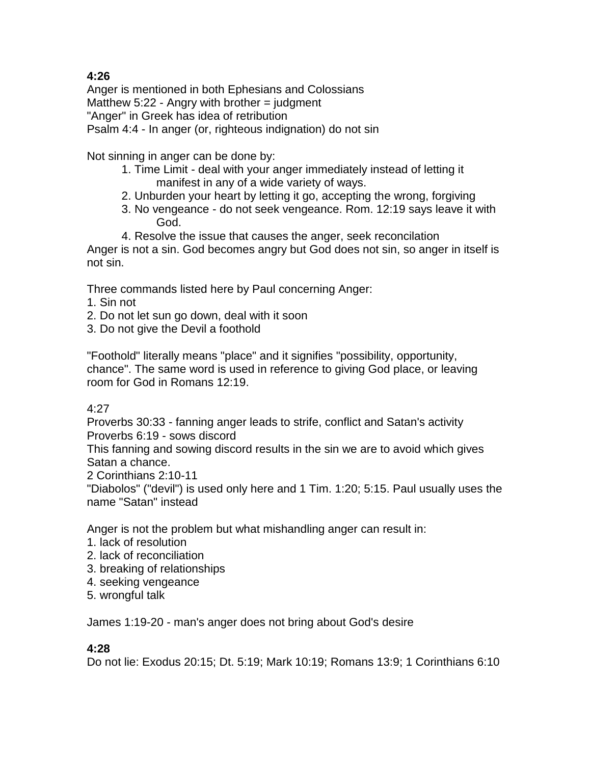# **4:26**

Anger is mentioned in both Ephesians and Colossians Matthew  $5:22$  - Angry with brother  $=$  judgment "Anger" in Greek has idea of retribution Psalm 4:4 - In anger (or, righteous indignation) do not sin

Not sinning in anger can be done by:

- 1. Time Limit deal with your anger immediately instead of letting it manifest in any of a wide variety of ways.
- 2. Unburden your heart by letting it go, accepting the wrong, forgiving
- 3. No vengeance do not seek vengeance. Rom. 12:19 says leave it with God.
- 4. Resolve the issue that causes the anger, seek reconcilation

Anger is not a sin. God becomes angry but God does not sin, so anger in itself is not sin.

Three commands listed here by Paul concerning Anger:

- 1. Sin not
- 2. Do not let sun go down, deal with it soon
- 3. Do not give the Devil a foothold

"Foothold" literally means "place" and it signifies "possibility, opportunity, chance". The same word is used in reference to giving God place, or leaving room for God in Romans 12:19.

# 4:27

Proverbs 30:33 - fanning anger leads to strife, conflict and Satan's activity Proverbs 6:19 - sows discord

This fanning and sowing discord results in the sin we are to avoid which gives Satan a chance.

2 Corinthians 2:10-11

"Diabolos" ("devil") is used only here and 1 Tim. 1:20; 5:15. Paul usually uses the name "Satan" instead

Anger is not the problem but what mishandling anger can result in:

- 1. lack of resolution
- 2. lack of reconciliation
- 3. breaking of relationships
- 4. seeking vengeance
- 5. wrongful talk

James 1:19-20 - man's anger does not bring about God's desire

# **4:28**

Do not lie: Exodus 20:15; Dt. 5:19; Mark 10:19; Romans 13:9; 1 Corinthians 6:10